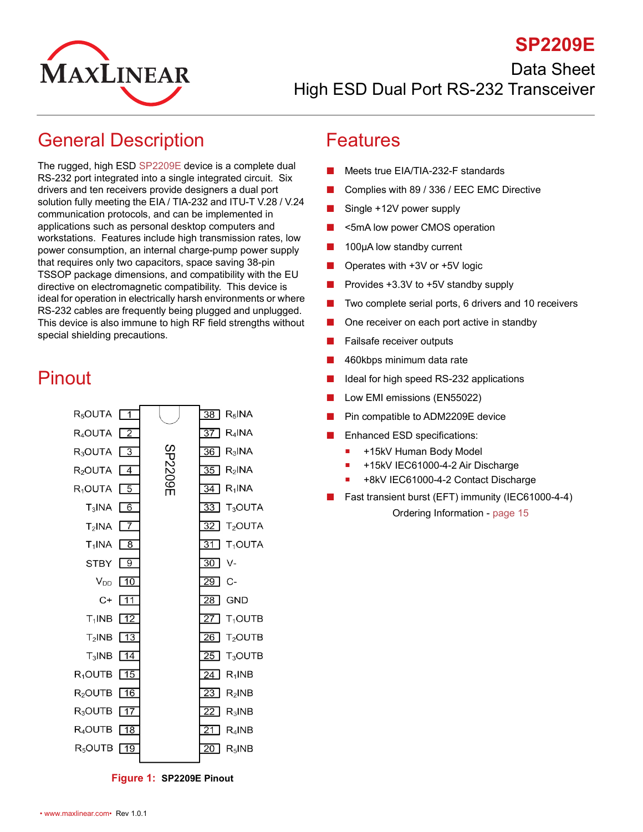

### **SP2209E**

Data Sheet

High ESD Dual Port RS-232 Transceiver

### <span id="page-0-0"></span>General Description

The rugged, high ESD [SP2209E](http://www.maxlinear.com/SP2209E) device is a complete dual RS-232 port integrated into a single integrated circuit. Six drivers and ten receivers provide designers a dual port solution fully meeting the EIA / TIA-232 and ITU-T V.28 / V.24 communication protocols, and can be implemented in applications such as personal desktop computers and workstations. Features include high transmission rates, low power consumption, an internal charge-pump power supply that requires only two capacitors, space saving 38-pin TSSOP package dimensions, and compatibility with the EU directive on electromagnetic compatibility. This device is ideal for operation in electrically harsh environments or where RS-232 cables are frequently being plugged and unplugged. This device is also immune to high RF field strengths without special shielding precautions.

## <span id="page-0-1"></span>Pinout



#### <span id="page-0-3"></span>**Figure 1: SP2209E Pinout**

#### <span id="page-0-2"></span>Features

- Meets true EIA/TIA-232-F standards
- Complies with 89 / 336 / EEC EMC Directive
- Single +12V power supply
- <5mA low power CMOS operation
- 100µA low standby current
- Operates with  $+3V$  or  $+5V$  logic
- Provides +3.3V to +5V standby supply
- Two complete serial ports, 6 drivers and 10 receivers
- One receiver on each port active in standby
- Failsafe receiver outputs
- 460kbps minimum data rate
- Ideal for high speed RS-232 applications
- Low EMI emissions (EN55022)
- Pin compatible to ADM2209E device
- Enhanced ESD specifications:
	- +15kV Human Body Model
	- +15kV IEC61000-4-2 Air Discharge
	- +8kV IEC61000-4-2 Contact Discharge
- Fast transient burst (EFT) immunity (IEC61000-4-4) Ordering Information - [page](#page-19-0) 15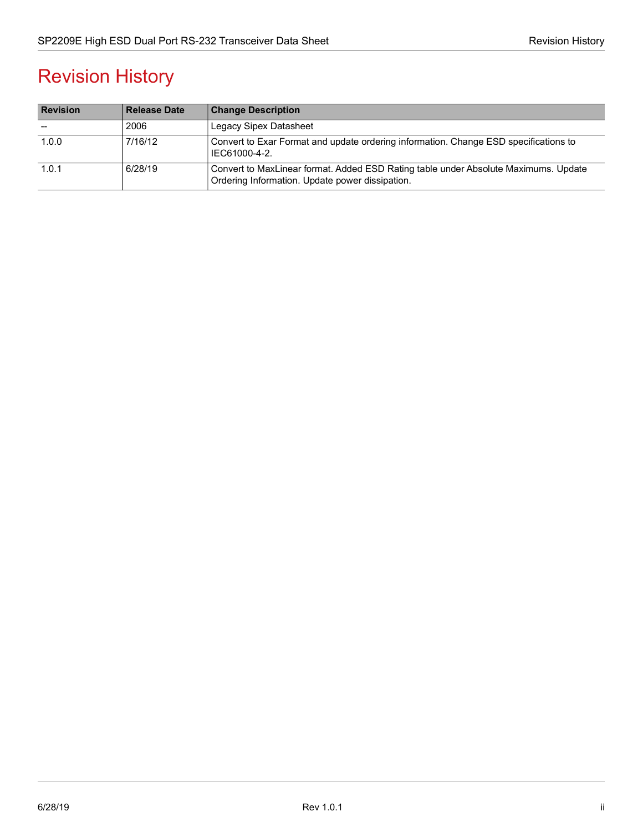# Revision History

| <b>Revision</b> | <b>Release Date</b> | <b>Change Description</b>                                                                                                              |
|-----------------|---------------------|----------------------------------------------------------------------------------------------------------------------------------------|
|                 | 2006                | <b>Legacy Sipex Datasheet</b>                                                                                                          |
| 1.0.0           | 7/16/12             | Convert to Exar Format and update ordering information. Change ESD specifications to<br>IEC61000-4-2.                                  |
| 1.0.1           | 6/28/19             | Convert to MaxLinear format. Added ESD Rating table under Absolute Maximums. Update<br>Ordering Information. Update power dissipation. |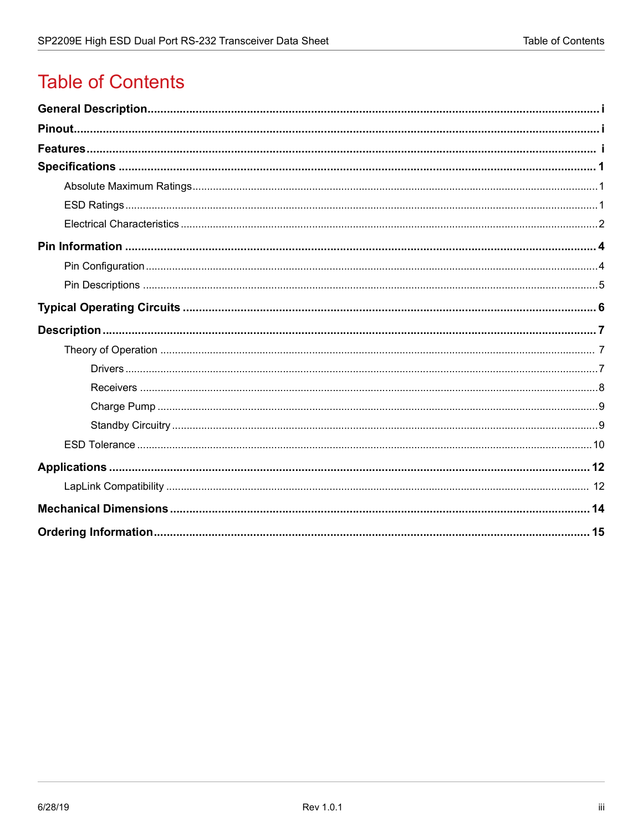# **Table of Contents**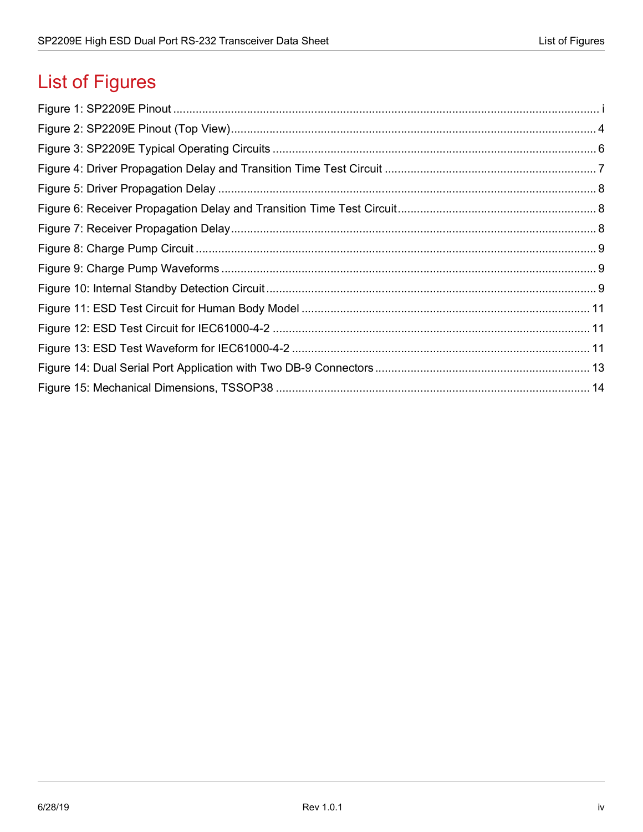# **List of Figures**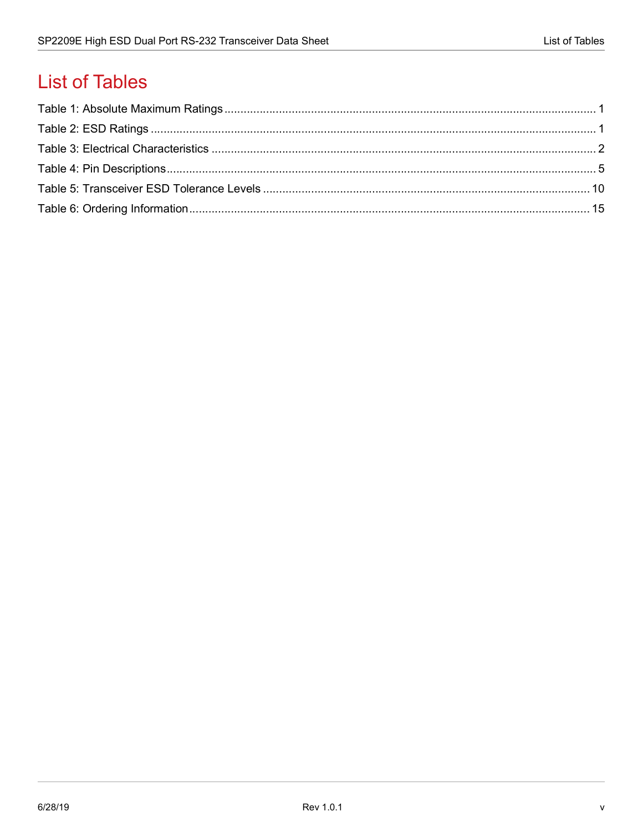# **List of Tables**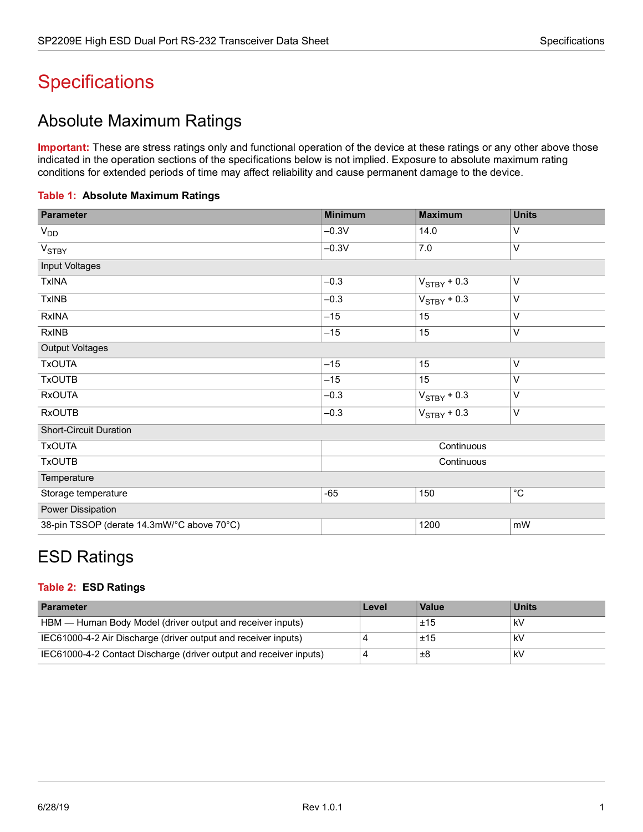# <span id="page-5-0"></span>**Specifications**

### <span id="page-5-1"></span>Absolute Maximum Ratings

**Important:** These are stress ratings only and functional operation of the device at these ratings or any other above those indicated in the operation sections of the specifications below is not implied. Exposure to absolute maximum rating conditions for extended periods of time may affect reliability and cause permanent damage to the device.

<span id="page-5-3"></span>

| Table 1: Absolute Maximum Ratings |  |
|-----------------------------------|--|
|-----------------------------------|--|

| <b>Parameter</b>                           | <b>Minimum</b> | <b>Maximum</b>   | <b>Units</b> |
|--------------------------------------------|----------------|------------------|--------------|
| $V_{DD}$                                   | $-0.3V$        | 14.0             | V            |
| V <sub>STBY</sub>                          | $-0.3V$        | 7.0              | V            |
| Input Voltages                             |                |                  |              |
| <b>TxINA</b>                               | $-0.3$         | $V_{STBY} + 0.3$ | V            |
| <b>TxINB</b>                               | $-0.3$         | $V_{STBY}$ + 0.3 | V            |
| <b>RxINA</b>                               | $-15$          | 15               | V            |
| <b>RxINB</b>                               | $-15$          | 15               | V            |
| <b>Output Voltages</b>                     |                |                  |              |
| <b>TxOUTA</b>                              | $-15$          | 15               | V            |
| <b>TxOUTB</b>                              | $-15$          | 15               | V            |
| <b>RxOUTA</b>                              | $-0.3$         | $V_{STBY} + 0.3$ | V            |
| <b>RxOUTB</b>                              | $-0.3$         | $V_{STBY}$ + 0.3 | $\vee$       |
| <b>Short-Circuit Duration</b>              |                |                  |              |
| <b>TxOUTA</b>                              |                | Continuous       |              |
| <b>TxOUTB</b>                              |                | Continuous       |              |
| Temperature                                |                |                  |              |
| Storage temperature                        | $-65$          | 150              | $^{\circ}C$  |
| Power Dissipation                          |                |                  |              |
| 38-pin TSSOP (derate 14.3mW/°C above 70°C) |                | 1200             | mW           |

### <span id="page-5-2"></span>ESD Ratings

#### <span id="page-5-4"></span>**Table 2: ESD Ratings**

| <b>Parameter</b>                                                   | Level | Value | <b>Units</b> |
|--------------------------------------------------------------------|-------|-------|--------------|
| HBM — Human Body Model (driver output and receiver inputs)         |       | ±15   | kV           |
| IEC61000-4-2 Air Discharge (driver output and receiver inputs)     |       | ±15   | kV           |
| IEC61000-4-2 Contact Discharge (driver output and receiver inputs) |       | ±8    | kV           |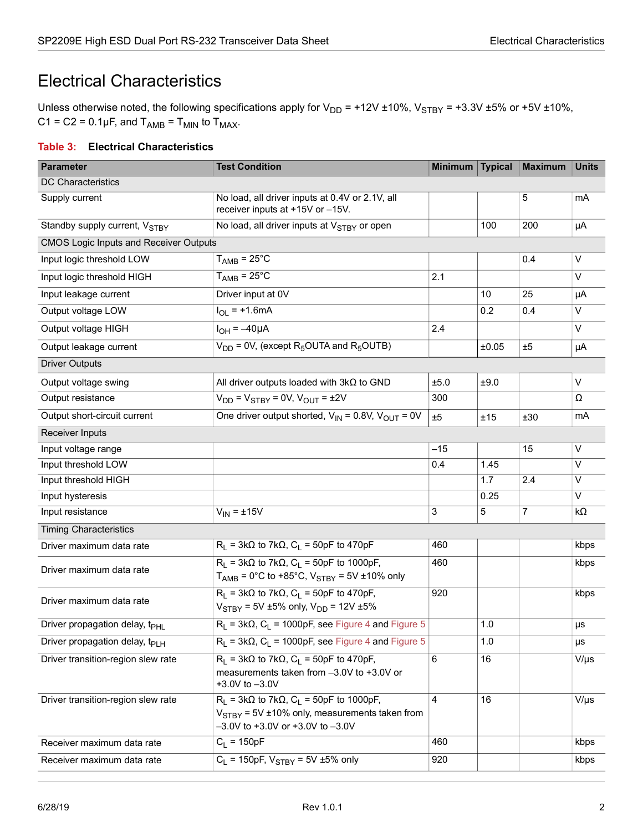### <span id="page-6-0"></span>Electrical Characteristics

Unless otherwise noted, the following specifications apply for  $V_{DD}$  = +12V ±10%, V<sub>STBY</sub> = +3.3V ±5% or +5V ±10%,  $C1 = C2 = 0.1 \mu F$ , and  $T_{AMB} = T_{MIN}$  to  $T_{MAX}$ .

#### <span id="page-6-1"></span>**Table 3: Electrical Characteristics**

| <b>Parameter</b>                              | <b>Test Condition</b>                                                                                                                                      | <b>Minimum</b> | <b>Typical</b> | Maximum        | <b>Units</b> |
|-----------------------------------------------|------------------------------------------------------------------------------------------------------------------------------------------------------------|----------------|----------------|----------------|--------------|
| <b>DC Characteristics</b>                     |                                                                                                                                                            |                |                |                |              |
| Supply current                                | No load, all driver inputs at 0.4V or 2.1V, all<br>receiver inputs at +15V or -15V.                                                                        |                |                | 5              | mA           |
| Standby supply current, VSTRY                 | No load, all driver inputs at V <sub>STBY</sub> or open                                                                                                    |                | 100            | 200            | μA           |
| <b>CMOS Logic Inputs and Receiver Outputs</b> |                                                                                                                                                            |                |                |                |              |
| Input logic threshold LOW                     | $T_{\text{AMB}} = 25^{\circ}C$                                                                                                                             |                |                | 0.4            | V            |
| Input logic threshold HIGH                    | $T_{\text{AMB}} = 25^{\circ}C$                                                                                                                             | 2.1            |                |                | $\vee$       |
| Input leakage current                         | Driver input at 0V                                                                                                                                         |                | 10             | 25             | μA           |
| Output voltage LOW                            | $I_{OL}$ = +1.6mA                                                                                                                                          |                | 0.2            | 0.4            | V            |
| Output voltage HIGH                           | $I_{OH} = -40\mu A$                                                                                                                                        | 2.4            |                |                | V            |
| Output leakage current                        | $V_{DD}$ = 0V, (except R <sub>5</sub> OUTA and R <sub>5</sub> OUTB)                                                                                        |                | ±0.05          | ±5             | μA           |
| <b>Driver Outputs</b>                         |                                                                                                                                                            |                |                |                |              |
| Output voltage swing                          | All driver outputs loaded with $3k\Omega$ to GND                                                                                                           | ±5.0           | ±9.0           |                | $\vee$       |
| Output resistance                             | $V_{DD}$ = $V_{STBY}$ = 0V, $V_{OUT}$ = $±2V$                                                                                                              | 300            |                |                | Ω            |
| Output short-circuit current                  | One driver output shorted, $V_{IN} = 0.8V$ , $V_{OUT} = 0V$                                                                                                | ±5             | ±15            | ±30            | mA           |
| Receiver Inputs                               |                                                                                                                                                            |                |                |                |              |
| Input voltage range                           |                                                                                                                                                            | $-15$          |                | 15             | V            |
| Input threshold LOW                           |                                                                                                                                                            | 0.4            | 1.45           |                | $\vee$       |
| Input threshold HIGH                          |                                                                                                                                                            |                | 1.7            | 2.4            | V            |
| Input hysteresis                              |                                                                                                                                                            |                | 0.25           |                | V            |
| Input resistance                              | $V_{IN} = \pm 15V$                                                                                                                                         | 3              | $\sqrt{5}$     | $\overline{7}$ | kΩ           |
| <b>Timing Characteristics</b>                 |                                                                                                                                                            |                |                |                |              |
| Driver maximum data rate                      | $R_L$ = 3k $\Omega$ to 7k $\Omega$ , $C_L$ = 50pF to 470pF                                                                                                 | 460            |                |                | kbps         |
| Driver maximum data rate                      | $R_1$ = 3k $\Omega$ to 7k $\Omega$ , $C_1$ = 50pF to 1000pF,<br>$T_{\text{AMB}}$ = 0°C to +85°C, V <sub>STBY</sub> = 5V ±10% only                          | 460            |                |                | kbps         |
| Driver maximum data rate                      | $R_1$ = 3k $\Omega$ to 7k $\Omega$ , $C_1$ = 50pF to 470pF,<br>$V_{STBY}$ = 5V ±5% only, $V_{DD}$ = 12V ±5%                                                | 920            |                |                | kbps         |
| Driver propagation delay, t <sub>PHL</sub>    | $R_L$ = 3k $\Omega$ , $C_L$ = 1000pF, see Figure 4 and Figure 5                                                                                            |                | 1.0            |                | μs           |
| Driver propagation delay, t <sub>Pl H</sub>   | $R_1$ = 3k $\Omega$ , $C_1$ = 1000pF, see Figure 4 and Figure 5                                                                                            |                | 1.0            |                | μs           |
| Driver transition-region slew rate            | $R_1$ = 3k $\Omega$ to 7k $\Omega$ , $C_1$ = 50pF to 470pF,<br>measurements taken from -3.0V to +3.0V or<br>$+3.0V$ to $-3.0V$                             | 6              | 16             |                | $V/\mu s$    |
| Driver transition-region slew rate            | $R_1$ = 3k $\Omega$ to 7k $\Omega$ , $C_1$ = 50pF to 1000pF,<br>$V_{STBY}$ = 5V ±10% only, measurements taken from<br>$-3.0V$ to +3.0V or +3.0V to $-3.0V$ | $\overline{4}$ | 16             |                | $V/\mu s$    |
| Receiver maximum data rate                    | $C_L = 150pF$                                                                                                                                              | 460            |                |                | kbps         |
| Receiver maximum data rate                    | $C_L$ = 150pF, $V_{STBY}$ = 5V ±5% only                                                                                                                    | 920            |                |                | kbps         |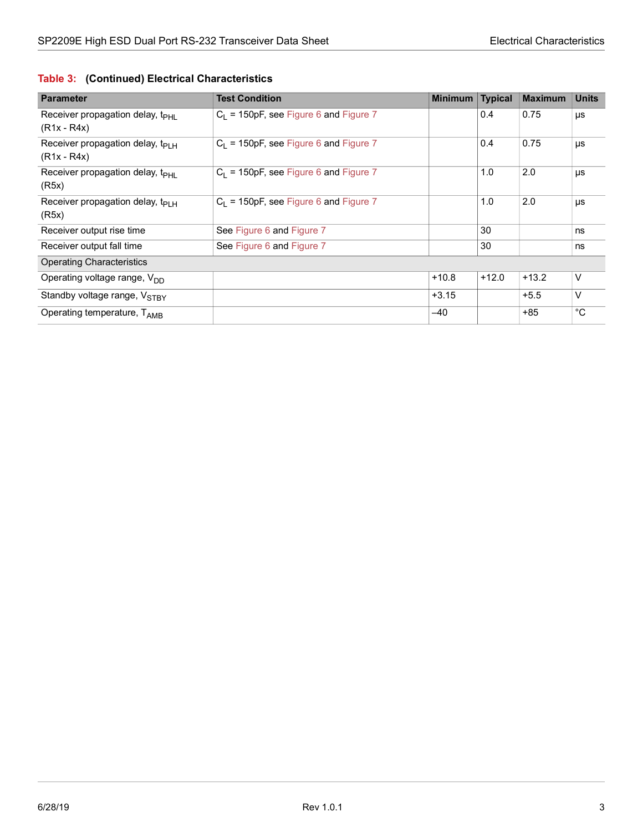|  |  |  | Table 3: (Continued) Electrical Characteristics |
|--|--|--|-------------------------------------------------|
|--|--|--|-------------------------------------------------|

| <b>Parameter</b>                                            | <b>Test Condition</b>                    | <b>Minimum</b> | <b>Typical</b> | <b>Maximum</b> | <b>Units</b> |
|-------------------------------------------------------------|------------------------------------------|----------------|----------------|----------------|--------------|
| Receiver propagation delay, t <sub>PHI</sub><br>(R1x - R4x) | $C_1$ = 150pF, see Figure 6 and Figure 7 |                | 0.4            | 0.75           | μs           |
| Receiver propagation delay, $t_{PIH}$<br>(R1x - R4x)        | $C_1$ = 150pF, see Figure 6 and Figure 7 |                | 0.4            | 0.75           | μs           |
| Receiver propagation delay, t <sub>PHL</sub><br>(R5x)       | $C_1$ = 150pF, see Figure 6 and Figure 7 |                | 1.0            | 2.0            | μs           |
| Receiver propagation delay, $t_{PIH}$<br>(R5x)              | $C_1$ = 150pF, see Figure 6 and Figure 7 |                | 1.0            | 2.0            | μs           |
| Receiver output rise time                                   | See Figure 6 and Figure 7                |                | 30             |                | ns           |
| Receiver output fall time                                   | See Figure 6 and Figure 7                |                | 30             |                | ns           |
| <b>Operating Characteristics</b>                            |                                          |                |                |                |              |
| Operating voltage range, V <sub>DD</sub>                    |                                          | $+10.8$        | $+12.0$        | $+13.2$        | V            |
| Standby voltage range, V <sub>STBY</sub>                    |                                          | $+3.15$        |                | $+5.5$         | V            |
| Operating temperature, TAMB                                 |                                          | $-40$          |                | $+85$          | °C           |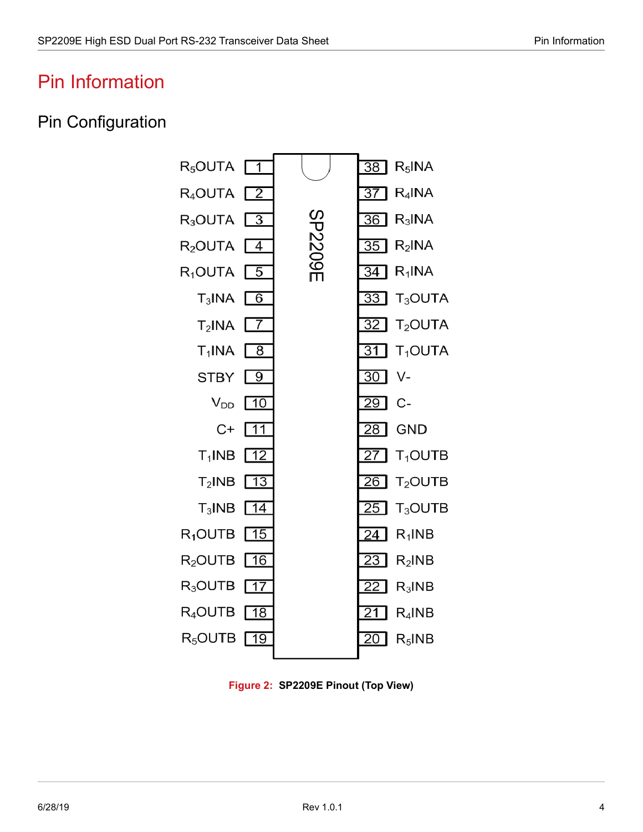## <span id="page-8-0"></span>Pin Information

### <span id="page-8-1"></span>Pin Configuration



<span id="page-8-2"></span>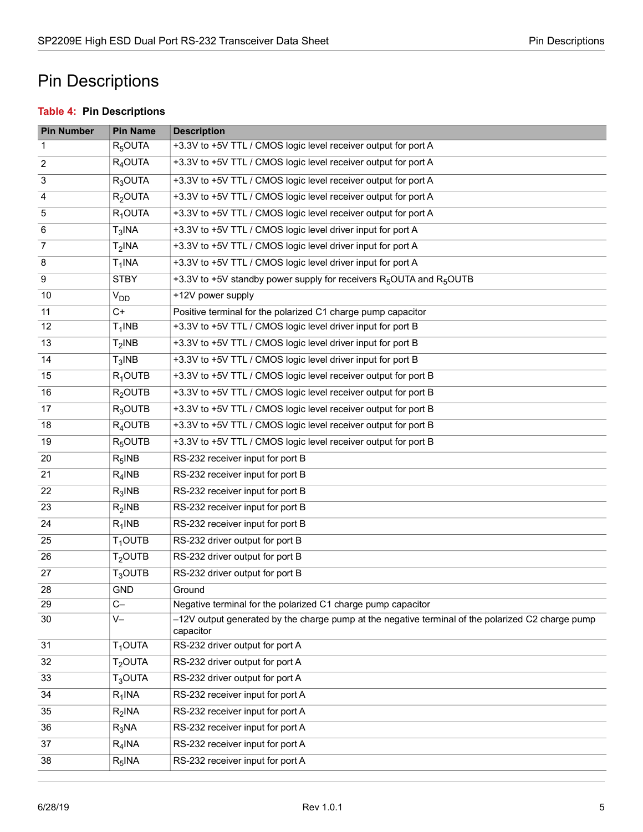## <span id="page-9-0"></span>Pin Descriptions

#### <span id="page-9-1"></span>**Table 4: Pin Descriptions**

| <b>Pin Number</b> | <b>Pin Name</b> | <b>Description</b>                                                                                             |
|-------------------|-----------------|----------------------------------------------------------------------------------------------------------------|
| 1                 | $R_5$ OUTA      | +3.3V to +5V TTL / CMOS logic level receiver output for port A                                                 |
| 2                 | $R4$ OUTA       | +3.3V to +5V TTL / CMOS logic level receiver output for port A                                                 |
| 3                 | $R_3$ OUTA      | +3.3V to +5V TTL / CMOS logic level receiver output for port A                                                 |
| 4                 | $R2$ OUTA       | +3.3V to +5V TTL / CMOS logic level receiver output for port A                                                 |
| 5                 | $R_1$ OUTA      | +3.3V to +5V TTL / CMOS logic level receiver output for port A                                                 |
| 6                 | $T_3$ INA       | +3.3V to +5V TTL / CMOS logic level driver input for port A                                                    |
| 7                 | $T2$ INA        | +3.3V to +5V TTL / CMOS logic level driver input for port A                                                    |
| 8                 | $T_1$ INA       | +3.3V to +5V TTL / CMOS logic level driver input for port A                                                    |
| $\boldsymbol{9}$  | <b>STBY</b>     | +3.3V to +5V standby power supply for receivers R <sub>5</sub> OUTA and R <sub>5</sub> OUTB                    |
| 10                | $V_{DD}$        | +12V power supply                                                                                              |
| 11                | $C+$            | Positive terminal for the polarized C1 charge pump capacitor                                                   |
| 12                | $T_1$ INB       | +3.3V to +5V TTL / CMOS logic level driver input for port B                                                    |
| 13                | $T2$ INB        | +3.3V to +5V TTL / CMOS logic level driver input for port B                                                    |
| 14                | $T_3$ INB       | +3.3V to +5V TTL / CMOS logic level driver input for port B                                                    |
| 15                | $R_1$ OUTB      | +3.3V to +5V TTL / CMOS logic level receiver output for port B                                                 |
| 16                | $R2$ OUTB       | +3.3V to +5V TTL / CMOS logic level receiver output for port B                                                 |
| 17                | $R_3$ OUTB      | +3.3V to +5V TTL / CMOS logic level receiver output for port B                                                 |
| 18                | $R_4$ OUTB      | +3.3V to +5V TTL / CMOS logic level receiver output for port B                                                 |
| 19                | $R_5$ OUTB      | +3.3V to +5V TTL / CMOS logic level receiver output for port B                                                 |
| 20                | $R_5$ INB       | RS-232 receiver input for port B                                                                               |
| 21                | $R_4$ INB       | RS-232 receiver input for port B                                                                               |
| 22                | $R_3$ INB       | RS-232 receiver input for port B                                                                               |
| 23                | $R_2$ INB       | RS-232 receiver input for port B                                                                               |
| 24                | $R_1$ INB       | RS-232 receiver input for port B                                                                               |
| 25                | $T1$ OUTB       | RS-232 driver output for port B                                                                                |
| 26                | $T2$ OUTB       | RS-232 driver output for port B                                                                                |
| 27                | $T_3$ OUTB      | RS-232 driver output for port B                                                                                |
| 28                | <b>GND</b>      | Ground                                                                                                         |
| 29                | $C -$           | Negative terminal for the polarized C1 charge pump capacitor                                                   |
| 30                | V-              | -12V output generated by the charge pump at the negative terminal of the polarized C2 charge pump<br>capacitor |
| 31                | $T1$ OUTA       | RS-232 driver output for port A                                                                                |
| 32                | $T2$ OUTA       | RS-232 driver output for port A                                                                                |
| 33                | $T_3$ OUTA      | RS-232 driver output for port A                                                                                |
| 34                | $R_1$ INA       | RS-232 receiver input for port A                                                                               |
| 35                | $R_2$ INA       | RS-232 receiver input for port A                                                                               |
| 36                | $R_3$ NA        | RS-232 receiver input for port A                                                                               |
| 37                | $R_4$ INA       | RS-232 receiver input for port A                                                                               |
| 38                | $R_5$ INA       | RS-232 receiver input for port A                                                                               |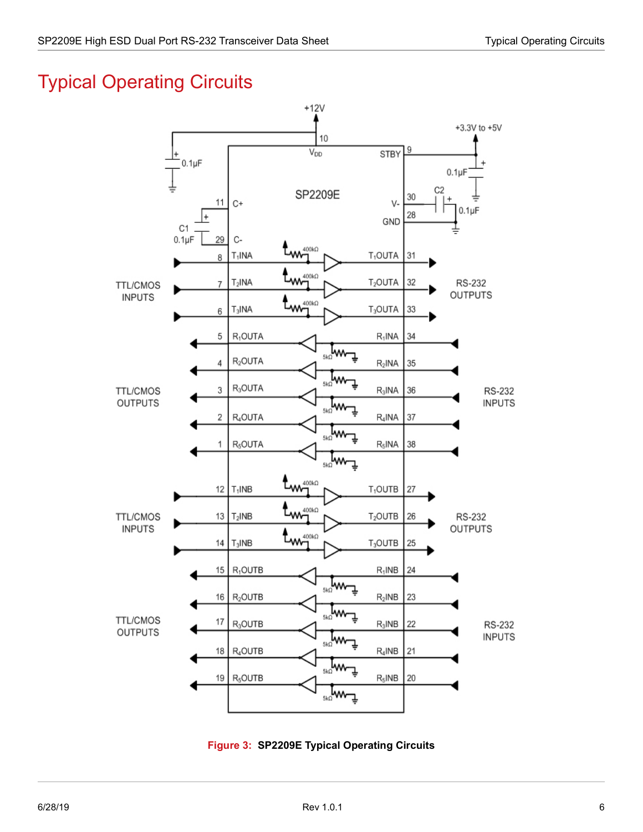# <span id="page-10-0"></span>Typical Operating Circuits



<span id="page-10-1"></span>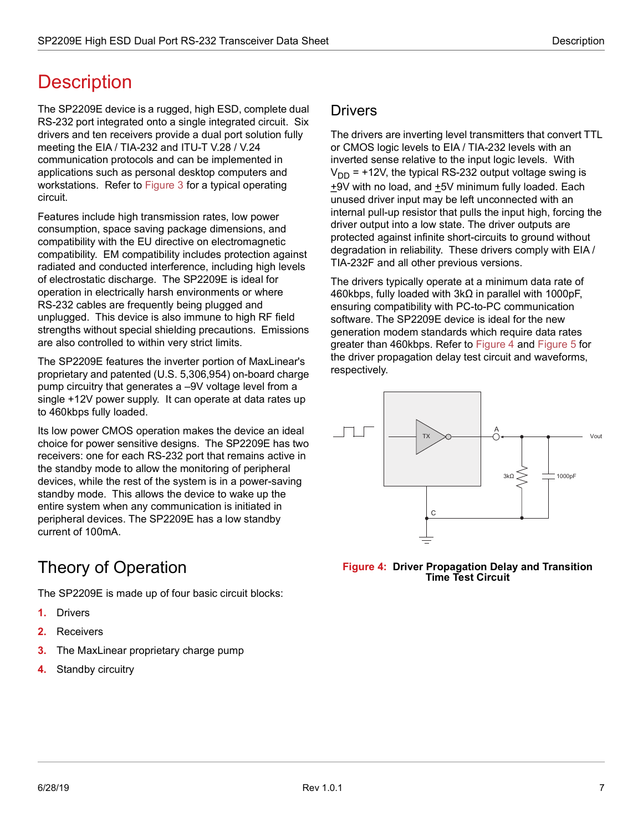# <span id="page-11-0"></span>**Description**

The SP2209E device is a rugged, high ESD, complete dual RS-232 port integrated onto a single integrated circuit. Six drivers and ten receivers provide a dual port solution fully meeting the EIA / TIA-232 and ITU-T V.28 / V.24 communication protocols and can be implemented in applications such as personal desktop computers and workstations. Refer to [Figure 3](#page-10-1) for a typical operating circuit.

Features include high transmission rates, low power consumption, space saving package dimensions, and compatibility with the EU directive on electromagnetic compatibility. EM compatibility includes protection against radiated and conducted interference, including high levels of electrostatic discharge. The SP2209E is ideal for operation in electrically harsh environments or where RS-232 cables are frequently being plugged and unplugged. This device is also immune to high RF field strengths without special shielding precautions. Emissions are also controlled to within very strict limits.

The SP2209E features the inverter portion of MaxLinear's proprietary and patented (U.S. 5,306,954) on-board charge pump circuitry that generates a –9V voltage level from a single +12V power supply. It can operate at data rates up to 460kbps fully loaded.

Its low power CMOS operation makes the device an ideal choice for power sensitive designs. The SP2209E has two receivers: one for each RS-232 port that remains active in the standby mode to allow the monitoring of peripheral devices, while the rest of the system is in a power-saving standby mode. This allows the device to wake up the entire system when any communication is initiated in peripheral devices. The SP2209E has a low standby current of 100mA.

## <span id="page-11-1"></span>Theory of Operation

The SP2209E is made up of four basic circuit blocks:

- **1.** Drivers
- **2.** Receivers
- **3.** The MaxLinear proprietary charge pump
- **4.** Standby circuitry

#### <span id="page-11-2"></span>**Drivers**

The drivers are inverting level transmitters that convert TTL or CMOS logic levels to EIA / TIA-232 levels with an inverted sense relative to the input logic levels. With  $V_{DD}$  = +12V, the typical RS-232 output voltage swing is +9V with no load, and +5V minimum fully loaded. Each unused driver input may be left unconnected with an internal pull-up resistor that pulls the input high, forcing the driver output into a low state. The driver outputs are protected against infinite short-circuits to ground without degradation in reliability. These drivers comply with EIA / TIA-232F and all other previous versions.

The drivers typically operate at a minimum data rate of 460kbps, fully loaded with 3kΩ in parallel with 1000pF, ensuring compatibility with PC-to-PC communication software. The SP2209E device is ideal for the new generation modem standards which require data rates greater than 460kbps. Refer to [Figure 4](#page-11-3) and [Figure 5](#page-12-1) for the driver propagation delay test circuit and waveforms, respectively.



<span id="page-11-3"></span>**Figure 4: Driver Propagation Delay and Transition Time Test Circuit**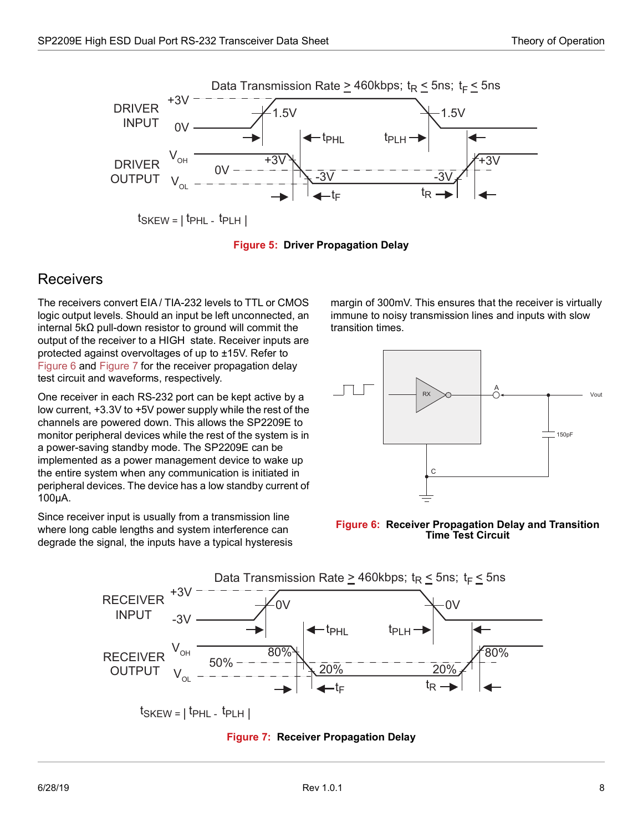

 $ts$ KEW =  $|t$ PHL -  $t$ PLH  $|t$ 



#### <span id="page-12-1"></span><span id="page-12-0"></span>Receivers

The receivers convert EIA / TIA-232 levels to TTL or CMOS logic output levels. Should an input be left unconnected, an internal 5kΩ pull-down resistor to ground will commit the output of the receiver to a HIGH state. Receiver inputs are protected against overvoltages of up to ±15V. Refer to [Figure 6](#page-12-2) and [Figure 7](#page-12-3) for the receiver propagation delay test circuit and waveforms, respectively.

One receiver in each RS-232 port can be kept active by a low current, +3.3V to +5V power supply while the rest of the channels are powered down. This allows the SP2209E to monitor peripheral devices while the rest of the system is in a power-saving standby mode. The SP2209E can be implemented as a power management device to wake up the entire system when any communication is initiated in peripheral devices. The device has a low standby current of 100µA.

Since receiver input is usually from a transmission line where long cable lengths and system interference can degrade the signal, the inputs have a typical hysteresis margin of 300mV. This ensures that the receiver is virtually immune to noisy transmission lines and inputs with slow transition times.



<span id="page-12-2"></span>



<span id="page-12-3"></span> $t_{SKEW}$  =  $|t_{PHL}$  -  $t_{PLH}$  |

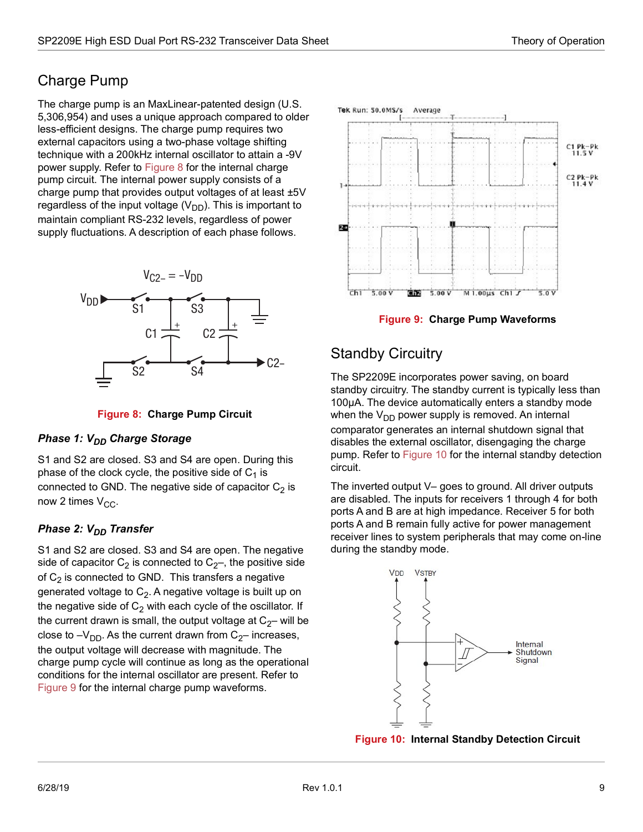### <span id="page-13-0"></span>Charge Pump

The charge pump is an MaxLinear-patented design (U.S. 5,306,954) and uses a unique approach compared to older less-efficient designs. The charge pump requires two external capacitors using a two-phase voltage shifting technique with a 200kHz internal oscillator to attain a -9V power supply. Refer to [Figure 8](#page-13-2) for the internal charge pump circuit. The internal power supply consists of a charge pump that provides output voltages of at least ±5V regardless of the input voltage  $(V_{DD})$ . This is important to maintain compliant RS-232 levels, regardless of power supply fluctuations. A description of each phase follows.



**Figure 8: Charge Pump Circuit**

#### <span id="page-13-2"></span>**Phase 1: V<sub>DD</sub> Charge Storage**

S1 and S2 are closed. S3 and S4 are open. During this phase of the clock cycle, the positive side of  $C_1$  is connected to GND. The negative side of capacitor  $C_2$  is now 2 times  $V_{CC}$ .

#### **Phase 2: V<sub>DD</sub> Transfer**

S1 and S2 are closed. S3 and S4 are open. The negative side of capacitor  $C_2$  is connected to  $C_2$ –, the positive side of  $C_2$  is connected to GND. This transfers a negative generated voltage to  $C_2$ . A negative voltage is built up on the negative side of  $C_2$  with each cycle of the oscillator. If the current drawn is small, the output voltage at  $C_2$ – will be close to  $-V_{DD}$ . As the current drawn from  $C_{2}$ – increases, the output voltage will decrease with magnitude. The charge pump cycle will continue as long as the operational conditions for the internal oscillator are present. Refer to [Figure 9](#page-13-3) for the internal charge pump waveforms.



**Figure 9: Charge Pump Waveforms**

### <span id="page-13-3"></span><span id="page-13-1"></span>Standby Circuitry

The SP2209E incorporates power saving, on board standby circuitry. The standby current is typically less than 100µA. The device automatically enters a standby mode when the  $V_{DD}$  power supply is removed. An internal comparator generates an internal shutdown signal that disables the external oscillator, disengaging the charge pump. Refer to [Figure 10](#page-13-4) for the internal standby detection circuit.

The inverted output V– goes to ground. All driver outputs are disabled. The inputs for receivers 1 through 4 for both ports A and B are at high impedance. Receiver 5 for both ports A and B remain fully active for power management receiver lines to system peripherals that may come on-line during the standby mode.



<span id="page-13-4"></span>**Figure 10: Internal Standby Detection Circuit**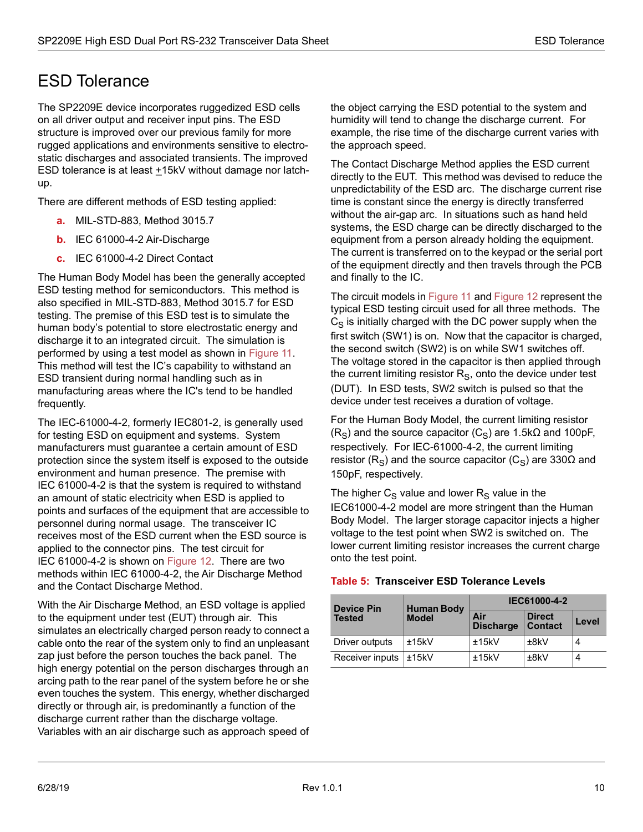### <span id="page-14-0"></span>ESD Tolerance

The SP2209E device incorporates ruggedized ESD cells on all driver output and receiver input pins. The ESD structure is improved over our previous family for more rugged applications and environments sensitive to electrostatic discharges and associated transients. The improved ESD tolerance is at least  $±15kV$  without damage nor latchup.

There are different methods of ESD testing applied:

- **a.** MIL-STD-883, Method 3015.7
- **b.** IEC 61000-4-2 Air-Discharge
- **c.** IEC 61000-4-2 Direct Contact

The Human Body Model has been the generally accepted ESD testing method for semiconductors. This method is also specified in MIL-STD-883, Method 3015.7 for ESD testing. The premise of this ESD test is to simulate the human body's potential to store electrostatic energy and discharge it to an integrated circuit. The simulation is performed by using a test model as shown in [Figure 11.](#page-15-0) This method will test the IC's capability to withstand an ESD transient during normal handling such as in manufacturing areas where the IC's tend to be handled frequently.

The IEC-61000-4-2, formerly IEC801-2, is generally used for testing ESD on equipment and systems. System manufacturers must guarantee a certain amount of ESD protection since the system itself is exposed to the outside environment and human presence. The premise with IEC 61000-4-2 is that the system is required to withstand an amount of static electricity when ESD is applied to points and surfaces of the equipment that are accessible to personnel during normal usage. The transceiver IC receives most of the ESD current when the ESD source is applied to the connector pins. The test circuit for IEC 61000-4-2 is shown on [Figure 12.](#page-15-1) There are two methods within IEC 61000-4-2, the Air Discharge Method and the Contact Discharge Method.

With the Air Discharge Method, an ESD voltage is applied to the equipment under test (EUT) through air. This simulates an electrically charged person ready to connect a cable onto the rear of the system only to find an unpleasant zap just before the person touches the back panel. The high energy potential on the person discharges through an arcing path to the rear panel of the system before he or she even touches the system. This energy, whether discharged directly or through air, is predominantly a function of the discharge current rather than the discharge voltage. Variables with an air discharge such as approach speed of the object carrying the ESD potential to the system and humidity will tend to change the discharge current. For example, the rise time of the discharge current varies with the approach speed.

The Contact Discharge Method applies the ESD current directly to the EUT. This method was devised to reduce the unpredictability of the ESD arc. The discharge current rise time is constant since the energy is directly transferred without the air-gap arc. In situations such as hand held systems, the ESD charge can be directly discharged to the equipment from a person already holding the equipment. The current is transferred on to the keypad or the serial port of the equipment directly and then travels through the PCB and finally to the IC.

The circuit models in [Figure 11](#page-15-0) and [Figure 12](#page-15-1) represent the typical ESD testing circuit used for all three methods. The  $C_S$  is initially charged with the DC power supply when the first switch (SW1) is on. Now that the capacitor is charged, the second switch (SW2) is on while SW1 switches off. The voltage stored in the capacitor is then applied through the current limiting resistor  $R<sub>S</sub>$ , onto the device under test (DUT). In ESD tests, SW2 switch is pulsed so that the device under test receives a duration of voltage.

For the Human Body Model, the current limiting resistor (R<sub>S</sub>) and the source capacitor (C<sub>S</sub>) are 1.5kΩ and 100pF, respectively. For IEC-61000-4-2, the current limiting resistor (R<sub>S</sub>) and the source capacitor (C<sub>S</sub>) are 330 $\Omega$  and 150pF, respectively.

The higher  $C_S$  value and lower  $R_S$  value in the IEC61000-4-2 model are more stringent than the Human Body Model. The larger storage capacitor injects a higher voltage to the test point when SW2 is switched on. The lower current limiting resistor increases the current charge onto the test point.

| <b>Device Pin</b> | <b>Human Body</b> | IEC61000-4-2            |                                 |       |  |
|-------------------|-------------------|-------------------------|---------------------------------|-------|--|
| <b>Tested</b>     | <b>Model</b>      | Air<br><b>Discharge</b> | <b>Direct</b><br><b>Contact</b> | Level |  |
| Driver outputs    | ±15kV             | ±15kV                   | ±8kV                            | 4     |  |
| Receiver inputs   | ±15kV             | ±15kV                   | ±8kV                            | 4     |  |

#### <span id="page-14-1"></span>**Table 5: Transceiver ESD Tolerance Levels**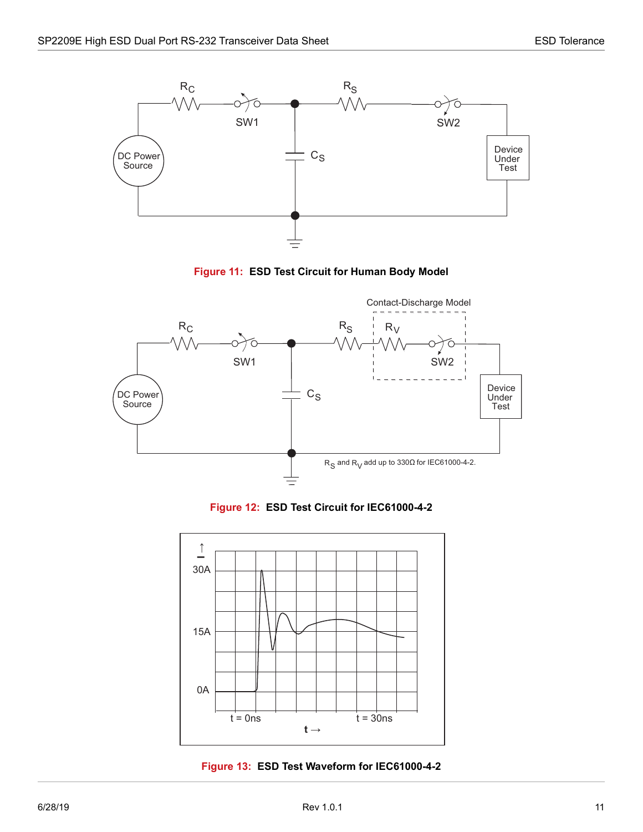



<span id="page-15-0"></span>

**Figure 12: ESD Test Circuit for IEC61000-4-2**

<span id="page-15-1"></span>

<span id="page-15-2"></span>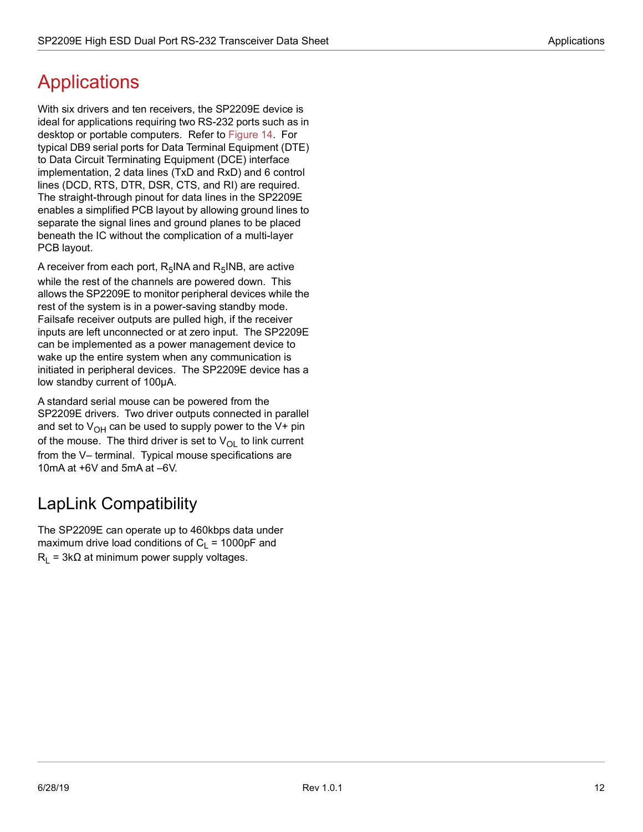# <span id="page-16-0"></span>**Applications**

With six drivers and ten receivers, the SP2209E device is ideal for applications requiring two RS-232 ports such as in desktop or portable computers. Refer to [Figure 14.](#page-17-0) For typical DB9 serial ports for Data Terminal Equipment (DTE) to Data Circuit Terminating Equipment (DCE) interface implementation, 2 data lines (TxD and RxD) and 6 control lines (DCD, RTS, DTR, DSR, CTS, and RI) are required. The straight-through pinout for data lines in the SP2209E enables a simplified PCB layout by allowing ground lines to separate the signal lines and ground planes to be placed beneath the IC without the complication of a multi-layer PCB layout.

A receiver from each port,  $R_5$ INA and  $R_5$ INB, are active while the rest of the channels are powered down. This allows the SP2209E to monitor peripheral devices while the rest of the system is in a power-saving standby mode. Failsafe receiver outputs are pulled high, if the receiver inputs are left unconnected or at zero input. The SP2209E can be implemented as a power management device to wake up the entire system when any communication is initiated in peripheral devices. The SP2209E device has a low standby current of 100µA.

A standard serial mouse can be powered from the SP2209E drivers. Two driver outputs connected in parallel and set to  $V_{OH}$  can be used to supply power to the V+ pin of the mouse. The third driver is set to  $V_{\text{OL}}$  to link current from the V– terminal. Typical mouse specifications are 10mA at +6V and 5mA at –6V.

## <span id="page-16-1"></span>LapLink Compatibility

The SP2209E can operate up to 460kbps data under maximum drive load conditions of  $C_1 = 1000pF$  and  $R_1$  = 3k $\Omega$  at minimum power supply voltages.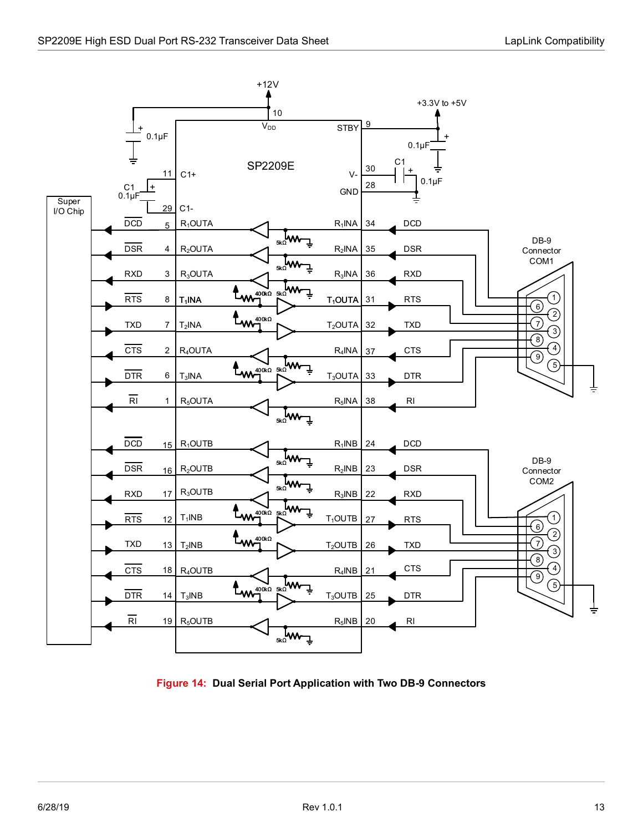

<span id="page-17-0"></span>**Figure 14: Dual Serial Port Application with Two DB-9 Connectors**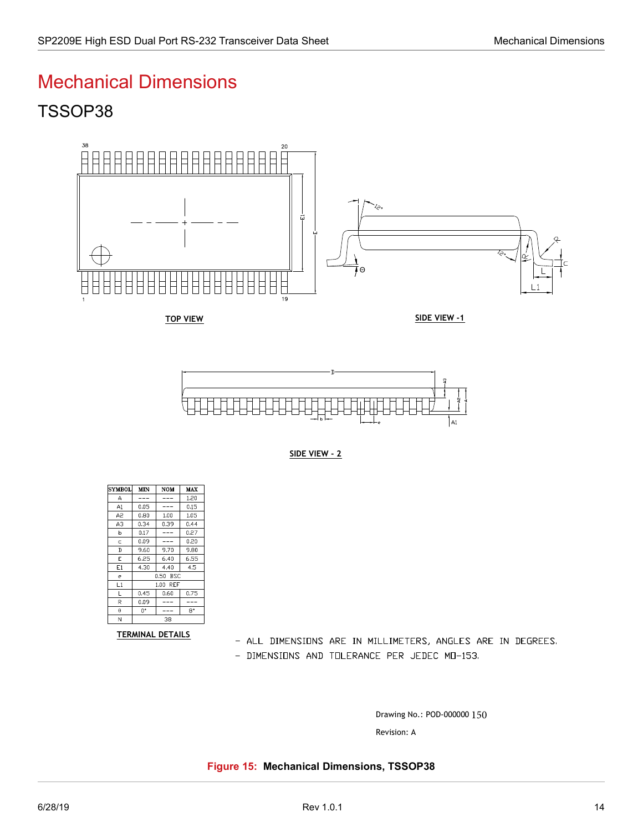### <span id="page-18-0"></span>Mechanical Dimensions

## TSSOP38



TOP VIEW

SIDE VIEW -1





| <b>SYMBOL</b>           | MIN      | NOM  | MAX  |  |  |
|-------------------------|----------|------|------|--|--|
| А                       |          |      | 1.20 |  |  |
| A1                      | 0.05     |      | 0.15 |  |  |
| A2                      | 0.80     | 1.00 | 1.05 |  |  |
| AЗ                      | 0.34     | 0.39 | 0.44 |  |  |
| b                       | 0.17     |      | 0.27 |  |  |
| Ċ                       | 0.09     |      | 0.20 |  |  |
| D                       | 9.60     | 9.70 | 9.80 |  |  |
| E                       | 6.25     | 6.40 | 6.55 |  |  |
| E1                      | 4.30     | 4.40 | 4.5  |  |  |
| е                       | 0.50 BSC |      |      |  |  |
| L1                      | 1.00 REF |      |      |  |  |
| L                       | 0.45     | 0.60 | 0.75 |  |  |
| R                       | 0.09     |      |      |  |  |
| $\theta$                | 0*       |      | 8°   |  |  |
| N                       | 38       |      |      |  |  |
| <b>TERMINAL DETAILS</b> |          |      |      |  |  |

- ALL DIMENSIONS ARE IN MILLIMETERS, ANGLES ARE IN DEGREES.

- DIMENSIONS AND TOLERANCE PER JEDEC MO-153.

Drawing No.: POD-000000

<span id="page-18-1"></span>**Figure 15: Mechanical Dimensions, TSSOP38**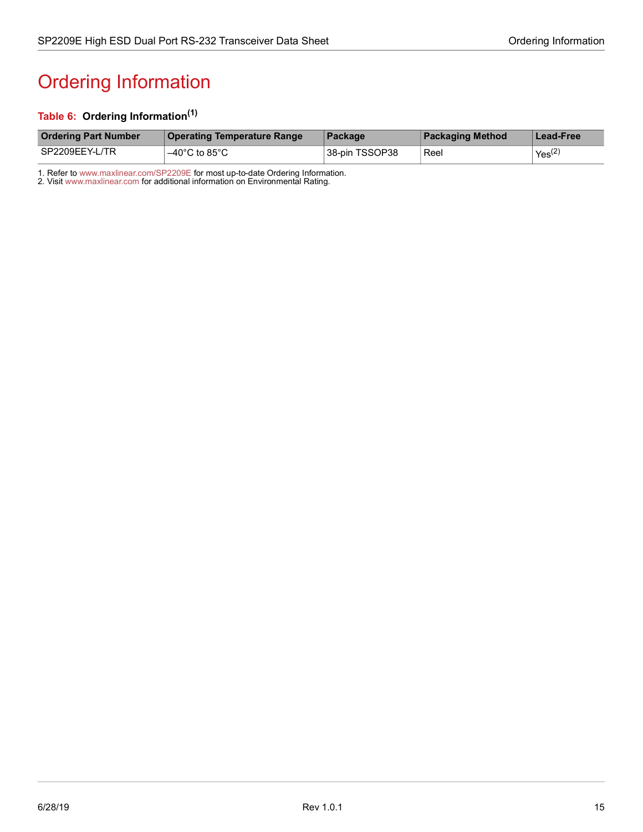# <span id="page-19-1"></span><span id="page-19-0"></span>Ordering Information

#### <span id="page-19-2"></span>**Table 6: Ordering Information(1)**

| <b>Ordering Part Number</b> | <b>Operating Temperature Range</b> | Package        | <b>Packaging Method</b> | Lead-Free          |
|-----------------------------|------------------------------------|----------------|-------------------------|--------------------|
| SP2209EEY-L/TR              | $-40^{\circ}$ C to 85 $^{\circ}$ C | 38-pin TSSOP38 | Reel                    | Yes <sup>(2)</sup> |

1. Refer to [www.maxlinear.com/SP2209E](http://www.maxlinear.com/SP2209E) for most up-to-date Ordering Information.

2. Visit[www.maxlinear.com](http://www.maxlinear.com) for additional information on Environmental Rating.